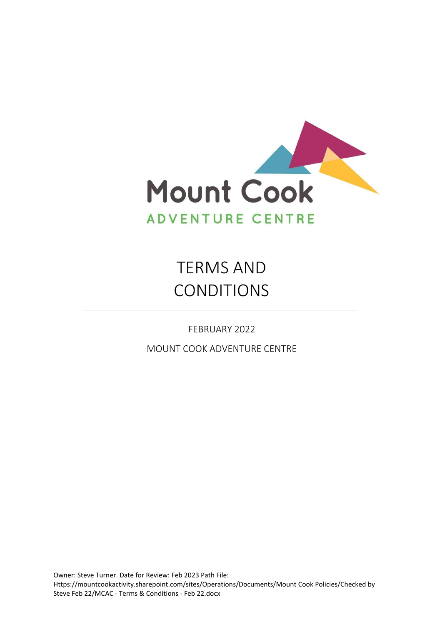

# TERMS AND CONDITIONS

FEBRUARY 2022

MOUNT COOK ADVENTURE CENTRE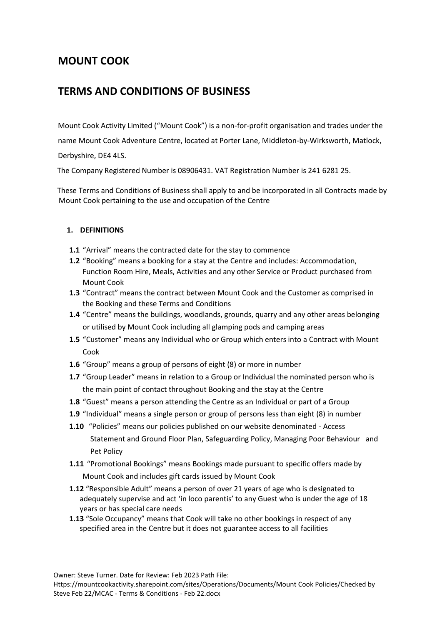# **MOUNT COOK**

# **TERMS AND CONDITIONS OF BUSINESS**

Mount Cook Activity Limited ("Mount Cook") is a non-for-profit organisation and trades under the

name Mount Cook Adventure Centre, located at Porter Lane, Middleton-by-Wirksworth, Matlock,

Derbyshire, DE4 4LS.

The Company Registered Number is 08906431. VAT Registration Number is 241 6281 25.

 These Terms and Conditions of Business shall apply to and be incorporated in all Contracts made by Mount Cook pertaining to the use and occupation of the Centre

# **1. DEFINITIONS**

- **1.1** "Arrival" means the contracted date for the stay to commence
- **1.2** "Booking" means a booking for a stay at the Centre and includes: Accommodation, Function Room Hire, Meals, Activities and any other Service or Product purchased from Mount Cook
- **1.3** "Contract" means the contract between Mount Cook and the Customer as comprised in the Booking and these Terms and Conditions
- **1.4** "Centre" means the buildings, woodlands, grounds, quarry and any other areas belonging or utilised by Mount Cook including all glamping pods and camping areas
- **1.5** "Customer" means any Individual who or Group which enters into a Contract with Mount Cook
- **1.6** "Group" means a group of persons of eight (8) or more in number
- **1.7** "Group Leader" means in relation to a Group or Individual the nominated person who is the main point of contact throughout Booking and the stay at the Centre
- **1.8** "Guest" means a person attending the Centre as an Individual or part of a Group
- **1.9** "Individual" means a single person or group of persons less than eight (8) in number
- **1.10** "Policies" means our policies published on our website denominated Access Statement and Ground Floor Plan, Safeguarding Policy, Managing Poor Behaviour and Pet Policy
- **1.11** "Promotional Bookings" means Bookings made pursuant to specific offers made by Mount Cook and includes gift cards issued by Mount Cook
- **1.12** "Responsible Adult" means a person of over 21 years of age who is designated to adequately supervise and act 'in loco parentis' to any Guest who is under the age of 18 years or has special care needs
- **1.13** "Sole Occupancy" means that Cook will take no other bookings in respect of any specified area in the Centre but it does not guarantee access to all facilities

Owner: Steve Turner. Date for Review: Feb 2023 Path File: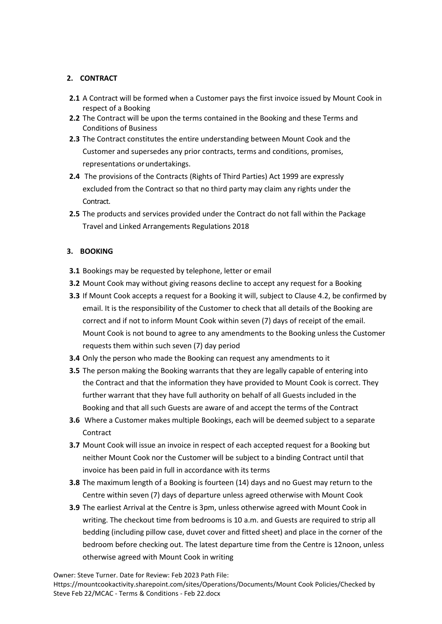# **2. CONTRACT**

- **2.1** A Contract will be formed when a Customer pays the first invoice issued by Mount Cook in respect of a Booking
- **2.2** The Contract will be upon the terms contained in the Booking and these Terms and Conditions of Business
- **2.3** The Contract constitutes the entire understanding between Mount Cook and the Customer and supersedes any prior contracts, terms and conditions, promises, representations orundertakings.
- **2.4** The provisions of the Contracts (Rights of Third Parties) Act 1999 are expressly excluded from the Contract so that no third party may claim any rights under the Contract.
- **2.5** The products and services provided under the Contract do not fall within the Package Travel and Linked Arrangements Regulations 2018

# **3. BOOKING**

- **3.1** Bookings may be requested by telephone, letter or email
- **3.2** Mount Cook may without giving reasons decline to accept any request for a Booking
- **3.3** If Mount Cook accepts a request for a Booking it will, subject to Clause 4.2, be confirmed by email. It is the responsibility of the Customer to check that all details of the Booking are correct and if not to inform Mount Cook within seven (7) days of receipt of the email. Mount Cook is not bound to agree to any amendments to the Booking unless the Customer requests them within such seven (7) day period
- **3.4** Only the person who made the Booking can request any amendments to it
- **3.5** The person making the Booking warrants that they are legally capable of entering into the Contract and that the information they have provided to Mount Cook is correct. They further warrant that they have full authority on behalf of all Guests included in the Booking and that all such Guests are aware of and accept the terms of the Contract
- **3.6** Where a Customer makes multiple Bookings, each will be deemed subject to a separate Contract
- **3.7** Mount Cook will issue an invoice in respect of each accepted request for a Booking but neither Mount Cook nor the Customer will be subject to a binding Contract until that invoice has been paid in full in accordance with its terms
- **3.8** The maximum length of a Booking is fourteen (14) days and no Guest may return to the Centre within seven (7) days of departure unless agreed otherwise with Mount Cook
- **3.9** The earliest Arrival at the Centre is 3pm, unless otherwise agreed with Mount Cook in writing. The checkout time from bedrooms is 10 a.m. and Guests are required to strip all bedding (including pillow case, duvet cover and fitted sheet) and place in the corner of the bedroom before checking out. The latest departure time from the Centre is 12noon, unless otherwise agreed with Mount Cook in writing

Owner: Steve Turner. Date for Review: Feb 2023 Path File:

Https://mountcookactivity.sharepoint.com/sites/Operations/Documents/Mount Cook Policies/Checked by Steve Feb 22/MCAC - Terms & Conditions - Feb 22.docx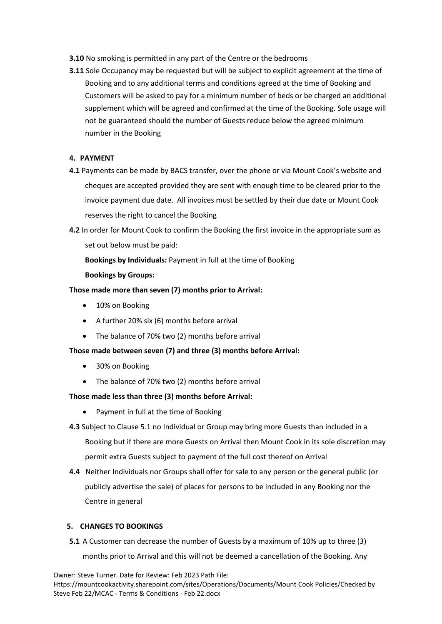- **3.10** No smoking is permitted in any part of the Centre or the bedrooms
- **3.11** Sole Occupancy may be requested but will be subject to explicit agreement at the time of Booking and to any additional terms and conditions agreed at the time of Booking and Customers will be asked to pay for a minimum number of beds or be charged an additional supplement which will be agreed and confirmed at the time of the Booking. Sole usage will not be guaranteed should the number of Guests reduce below the agreed minimum number in the Booking

#### **4. PAYMENT**

- **4.1** Payments can be made by BACS transfer, over the phone or via Mount Cook's website and cheques are accepted provided they are sent with enough time to be cleared prior to the invoice payment due date. All invoices must be settled by their due date or Mount Cook reserves the right to cancel the Booking
- **4.2** In order for Mount Cook to confirm the Booking the first invoice in the appropriate sum as set out below must be paid:

**Bookings by Individuals:** Payment in full at the time of Booking

#### **Bookings by Groups:**

### **Those made more than seven (7) months prior to Arrival:**

- 10% on Booking
- A further 20% six (6) months before arrival
- The balance of 70% two (2) months before arrival

# **Those made between seven (7) and three (3) months before Arrival:**

- 30% on Booking
- The balance of 70% two (2) months before arrival

# **Those made less than three (3) months before Arrival:**

- Payment in full at the time of Booking
- **4.3** Subject to Clause 5.1 no Individual or Group may bring more Guests than included in a Booking but if there are more Guests on Arrival then Mount Cook in its sole discretion may permit extra Guests subject to payment of the full cost thereof on Arrival
- **4.4** Neither Individuals nor Groups shall offer for sale to any person or the general public (or publicly advertise the sale) of places for persons to be included in any Booking nor the Centre in general

#### **5. CHANGES TO BOOKINGS**

**5.1** A Customer can decrease the number of Guests by a maximum of 10% up to three (3) months prior to Arrival and this will not be deemed a cancellation of the Booking. Any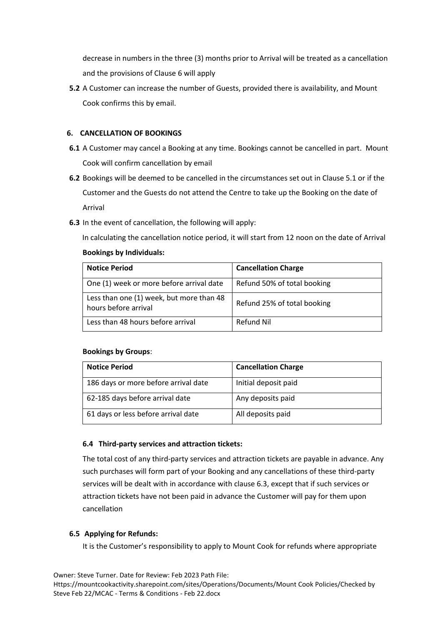decrease in numbers in the three (3) months prior to Arrival will be treated as a cancellation and the provisions of Clause 6 will apply

**5.2** A Customer can increase the number of Guests, provided there is availability, and Mount Cook confirms this by email.

# **6. CANCELLATION OF BOOKINGS**

- **6.1** A Customer may cancel a Booking at any time. Bookings cannot be cancelled in part. Mount Cook will confirm cancellation by email
- **6.2** Bookings will be deemed to be cancelled in the circumstances set out in Clause 5.1 or if the Customer and the Guests do not attend the Centre to take up the Booking on the date of Arrival
- **6.3** In the event of cancellation, the following will apply:

In calculating the cancellation notice period, it will start from 12 noon on the date of Arrival

# **Bookings by Individuals:**

| <b>Notice Period</b>                                             | <b>Cancellation Charge</b>  |
|------------------------------------------------------------------|-----------------------------|
| One (1) week or more before arrival date                         | Refund 50% of total booking |
| Less than one (1) week, but more than 48<br>hours before arrival | Refund 25% of total booking |
| Less than 48 hours before arrival                                | Refund Nil                  |

# **Bookings by Groups**:

| <b>Notice Period</b>                 | <b>Cancellation Charge</b> |
|--------------------------------------|----------------------------|
| 186 days or more before arrival date | Initial deposit paid       |
| 62-185 days before arrival date      | Any deposits paid          |
| 61 days or less before arrival date  | All deposits paid          |

# **6.4 Third-party services and attraction tickets:**

The total cost of any third-party services and attraction tickets are payable in advance. Any such purchases will form part of your Booking and any cancellations of these third-party services will be dealt with in accordance with clause 6.3, except that if such services or attraction tickets have not been paid in advance the Customer will pay for them upon cancellation

# **6.5 Applying for Refunds:**

It is the Customer's responsibility to apply to Mount Cook for refunds where appropriate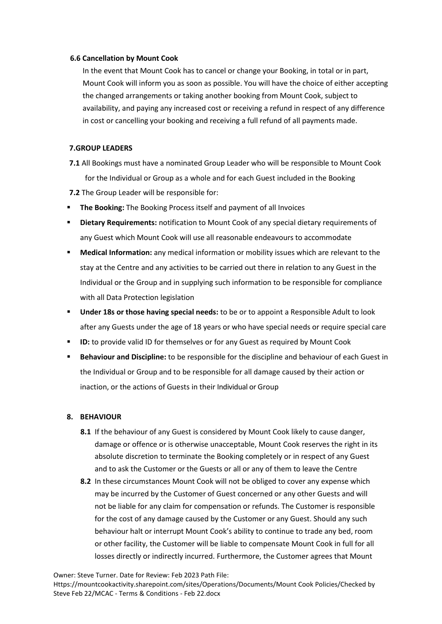#### **6.6 Cancellation by Mount Cook**

In the event that Mount Cook has to cancel or change your Booking, in total or in part, Mount Cook will inform you as soon as possible. You will have the choice of either accepting the changed arrangements or taking another booking from Mount Cook, subject to availability, and paying any increased cost or receiving a refund in respect of any difference in cost or cancelling your booking and receiving a full refund of all payments made.

#### **7.GROUP LEADERS**

- **7.1** All Bookings must have a nominated Group Leader who will be responsible to Mount Cook for the Individual or Group as a whole and for each Guest included in the Booking
- **7.2** The Group Leader will be responsible for:
- **The Booking:** The Booking Process itself and payment of all Invoices
- **Dietary Requirements: notification to Mount Cook of any special dietary requirements of** any Guest which Mount Cook will use all reasonable endeavours to accommodate
- **Medical Information:** any medical information or mobility issues which are relevant to the stay at the Centre and any activities to be carried out there in relation to any Guest in the Individual or the Group and in supplying such information to be responsible for compliance with all Data Protection legislation
- **Under 18s or those having special needs:** to be or to appoint a Responsible Adult to look after any Guests under the age of 18 years or who have special needs or require special care
- **ID:** to provide valid ID for themselves or for any Guest as required by Mount Cook
- Behaviour and Discipline: to be responsible for the discipline and behaviour of each Guest in the Individual or Group and to be responsible for all damage caused by their action or inaction, or the actions of Guests in their Individual or Group

# **8. BEHAVIOUR**

- **8.1** If the behaviour of any Guest is considered by Mount Cook likely to cause danger, damage or offence or is otherwise unacceptable, Mount Cook reserves the right in its absolute discretion to terminate the Booking completely or in respect of any Guest and to ask the Customer or the Guests or all or any of them to leave the Centre
- **8.2** In these circumstances Mount Cook will not be obliged to cover any expense which may be incurred by the Customer of Guest concerned or any other Guests and will not be liable for any claim for compensation or refunds. The Customer is responsible for the cost of any damage caused by the Customer or any Guest. Should any such behaviour halt or interrupt Mount Cook's ability to continue to trade any bed, room or other facility, the Customer will be liable to compensate Mount Cook in full for all losses directly or indirectly incurred. Furthermore, the Customer agrees that Mount

Owner: Steve Turner. Date for Review: Feb 2023 Path File:

Https://mountcookactivity.sharepoint.com/sites/Operations/Documents/Mount Cook Policies/Checked by Steve Feb 22/MCAC - Terms & Conditions - Feb 22.docx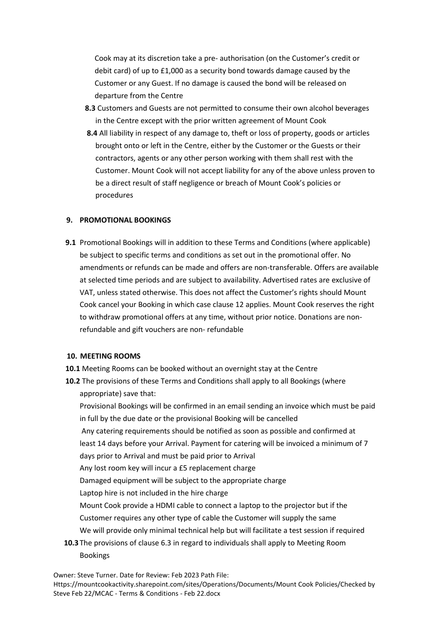Cook may at its discretion take a pre- authorisation (on the Customer's credit or debit card) of up to £1,000 as a security bond towards damage caused by the Customer or any Guest. If no damage is caused the bond will be released on departure from the Centre

- **8.3** Customers and Guests are not permitted to consume their own alcohol beverages in the Centre except with the prior written agreement of Mount Cook
- **8.4** All liability in respect of any damage to, theft or loss of property, goods or articles brought onto or left in the Centre, either by the Customer or the Guests or their contractors, agents or any other person working with them shall rest with the Customer. Mount Cook will not accept liability for any of the above unless proven to be a direct result of staff negligence or breach of Mount Cook's policies or procedures

#### **9. PROMOTIONAL BOOKINGS**

**9.1** Promotional Bookings will in addition to these Terms and Conditions (where applicable) be subject to specific terms and conditions as set out in the promotional offer. No amendments or refunds can be made and offers are non-transferable. Offers are available at selected time periods and are subject to availability. Advertised rates are exclusive of VAT, unless stated otherwise. This does not affect the Customer's rights should Mount Cook cancel your Booking in which case clause 12 applies. Mount Cook reserves the right to withdraw promotional offers at any time, without prior notice. Donations are nonrefundable and gift vouchers are non- refundable

#### **10. MEETING ROOMS**

- **10.1** Meeting Rooms can be booked without an overnight stay at the Centre
- **10.2** The provisions of these Terms and Conditions shall apply to all Bookings (where appropriate) save that:

Provisional Bookings will be confirmed in an email sending an invoice which must be paid in full by the due date or the provisional Booking will be cancelled

Any catering requirements should be notified as soon as possible and confirmed at least 14 days before your Arrival. Payment for catering will be invoiced a minimum of 7

days prior to Arrival and must be paid prior to Arrival

Any lost room key will incur a £5 replacement charge

Damaged equipment will be subject to the appropriate charge

Laptop hire is not included in the hire charge

Mount Cook provide a HDMI cable to connect a laptop to the projector but if the Customer requires any other type of cable the Customer will supply the same

We will provide only minimal technical help but will facilitate a test session if required

**10.3** The provisions of clause 6.3 in regard to individuals shall apply to Meeting Room Bookings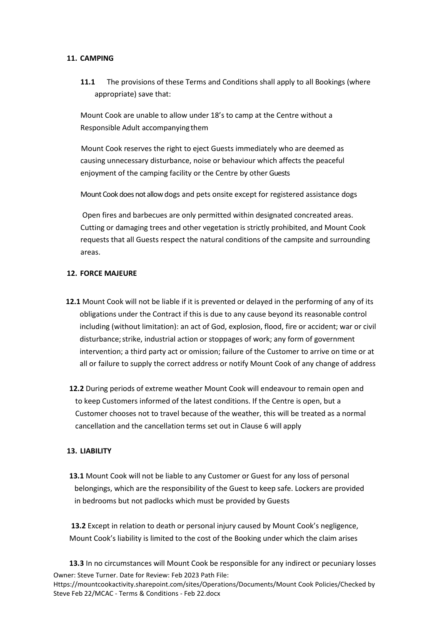#### **11. CAMPING**

**11.1** The provisions of these Terms and Conditions shall apply to all Bookings (where appropriate) save that:

Mount Cook are unable to allow under 18's to camp at the Centre without a Responsible Adult accompanyingthem

Mount Cook reserves the right to eject Guests immediately who are deemed as causing unnecessary disturbance, noise or behaviour which affects the peaceful enjoyment of the camping facility or the Centre by other Guests

Mount Cook does not allow dogs and pets onsite except for registered assistance dogs

Open fires and barbecues are only permitted within designated concreated areas. Cutting or damaging trees and other vegetation is strictly prohibited, and Mount Cook requests that all Guests respect the natural conditions of the campsite and surrounding areas.

#### **12. FORCE MAJEURE**

- **12.1** Mount Cook will not be liable if it is prevented or delayed in the performing of any of its obligations under the Contract if this is due to any cause beyond its reasonable control including (without limitation): an act of God, explosion, flood, fire or accident; war or civil disturbance;strike, industrial action or stoppages of work; any form of government intervention; a third party act or omission; failure of the Customer to arrive on time or at all or failure to supply the correct address or notify Mount Cook of any change of address
- **12.2** During periods of extreme weather Mount Cook will endeavour to remain open and to keep Customers informed of the latest conditions. If the Centre is open, but a Customer chooses not to travel because of the weather, this will be treated as a normal cancellation and the cancellation terms set out in Clause 6 will apply

#### **13. LIABILITY**

**13.1** Mount Cook will not be liable to any Customer or Guest for any loss of personal belongings, which are the responsibility of the Guest to keep safe. Lockers are provided in bedrooms but not padlocks which must be provided by Guests

**13.2** Except in relation to death or personal injury caused by Mount Cook's negligence, Mount Cook's liability is limited to the cost of the Booking under which the claim arises

Owner: Steve Turner. Date for Review: Feb 2023 Path File: **13.3** In no circumstances will Mount Cook be responsible for any indirect or pecuniary losses

Https://mountcookactivity.sharepoint.com/sites/Operations/Documents/Mount Cook Policies/Checked by Steve Feb 22/MCAC - Terms & Conditions - Feb 22.docx